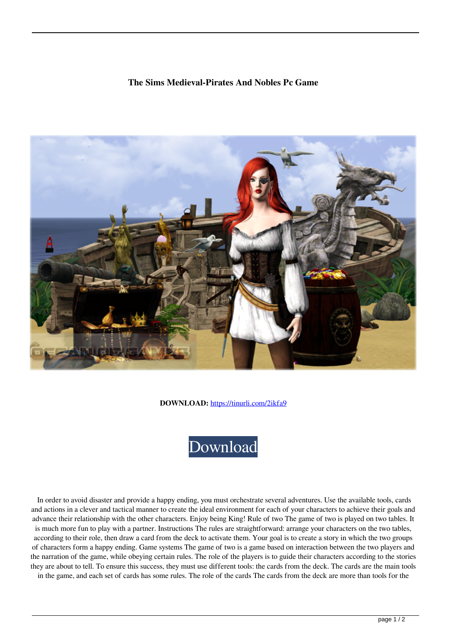## **The Sims Medieval-Pirates And Nobles Pc Game**



**DOWNLOAD:** <https://tinurli.com/2ikfa9>



 In order to avoid disaster and provide a happy ending, you must orchestrate several adventures. Use the available tools, cards and actions in a clever and tactical manner to create the ideal environment for each of your characters to achieve their goals and advance their relationship with the other characters. Enjoy being King! Rule of two The game of two is played on two tables. It is much more fun to play with a partner. Instructions The rules are straightforward: arrange your characters on the two tables, according to their role, then draw a card from the deck to activate them. Your goal is to create a story in which the two groups of characters form a happy ending. Game systems The game of two is a game based on interaction between the two players and the narration of the game, while obeying certain rules. The role of the players is to guide their characters according to the stories they are about to tell. To ensure this success, they must use different tools: the cards from the deck. The cards are the main tools in the game, and each set of cards has some rules. The role of the cards The cards from the deck are more than tools for the